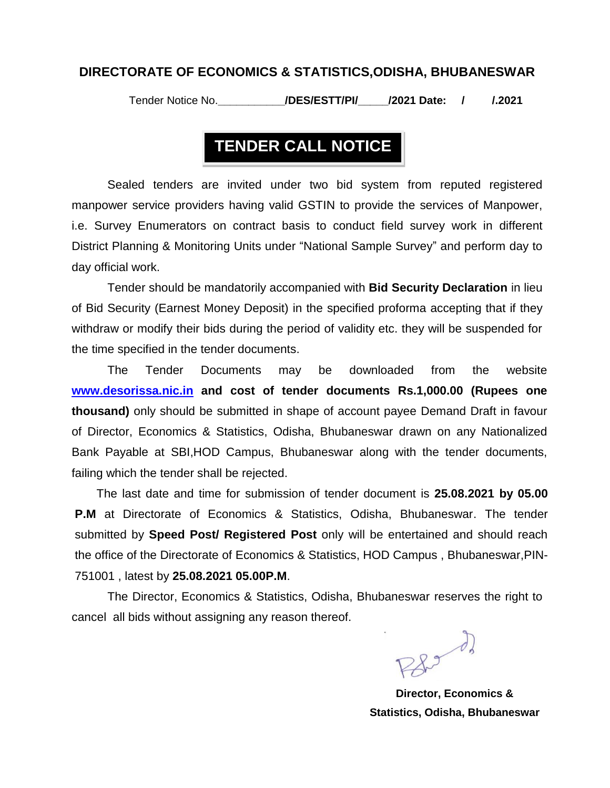#### **DIRECTORATE OF ECONOMICS & STATISTICS,ODISHA, BHUBANESWAR**

Tender Notice No.**\_\_\_\_\_\_\_\_\_\_\_/DES/ESTT/PI/\_\_\_\_\_/2021 Date: / /.2021**

### **TENDER CALL NOTICE**

Sealed tenders are invited under two bid system from reputed registered manpower service providers having valid GSTIN to provide the services of Manpower, i.e. Survey Enumerators on contract basis to conduct field survey work in different District Planning & Monitoring Units under "National Sample Survey" and perform day to day official work.

Tender should be mandatorily accompanied with **Bid Security Declaration** in lieu of Bid Security (Earnest Money Deposit) in the specified proforma accepting that if they withdraw or modify their bids during the period of validity etc. they will be suspended for the time specified in the tender documents.

The Tender Documents may be downloaded from the website **[www.desorissa.nic.in](http://www.desorissa.nic.in/) and cost of tender documents Rs.1,000.00 (Rupees one thousand)** only should be submitted in shape of account payee Demand Draft in favour of Director, Economics & Statistics, Odisha, Bhubaneswar drawn on any Nationalized Bank Payable at SBI,HOD Campus, Bhubaneswar along with the tender documents, failing which the tender shall be rejected.

The last date and time for submission of tender document is **25.08.2021 by 05.00 P.M** at Directorate of Economics & Statistics, Odisha, Bhubaneswar. The tender submitted by **Speed Post/ Registered Post** only will be entertained and should reach the office of the Directorate of Economics & Statistics, HOD Campus , Bhubaneswar,PIN-751001 , latest by **25.08.2021 05.00P.M**.

The Director, Economics & Statistics, Odisha, Bhubaneswar reserves the right to cancel all bids without assigning any reason thereof.

 $\mathbb{R}^3$ 

**Director, Economics & Statistics, Odisha, Bhubaneswar**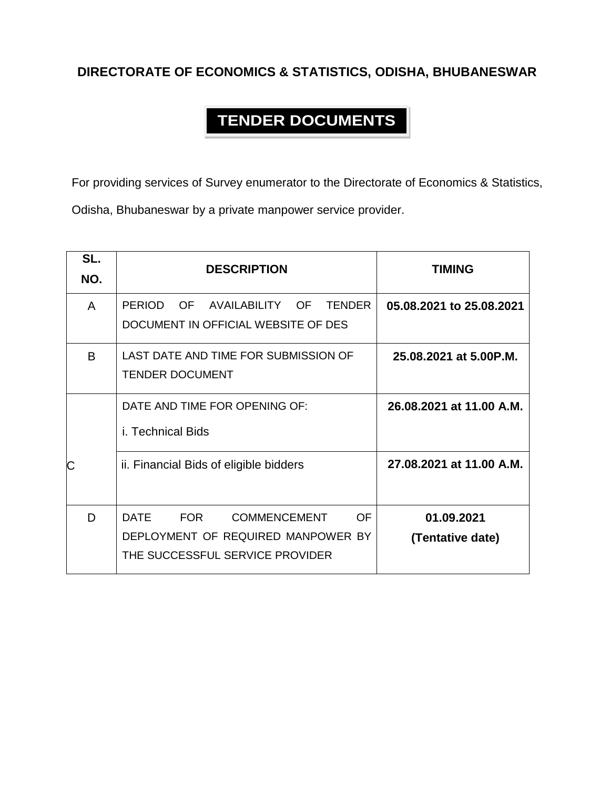#### **DIRECTORATE OF ECONOMICS & STATISTICS, ODISHA, BHUBANESWAR**

### **TENDER DOCUMENTS**

For providing services of Survey enumerator to the Directorate of Economics & Statistics,

Odisha, Bhubaneswar by a private manpower service provider.

| SL.<br>NO. | <b>DESCRIPTION</b>                                                                                                                     | <b>TIMING</b>                  |
|------------|----------------------------------------------------------------------------------------------------------------------------------------|--------------------------------|
| A          | <b>PERIOD</b><br>OF AVAILABILITY<br>- OF<br><b>TENDER</b><br>DOCUMENT IN OFFICIAL WEBSITE OF DES                                       | 05.08.2021 to 25.08.2021       |
| В          | LAST DATE AND TIME FOR SUBMISSION OF<br><b>TENDER DOCUMENT</b>                                                                         | 25.08.2021 at 5.00P.M.         |
|            | DATE AND TIME FOR OPENING OF:<br>i. Technical Bids                                                                                     | 26.08.2021 at 11.00 A.M.       |
|            | ii. Financial Bids of eligible bidders                                                                                                 | 27.08.2021 at 11.00 A.M.       |
| D          | <b>DATE</b><br><b>FOR</b><br><b>COMMENCEMENT</b><br><b>OF</b><br>DEPLOYMENT OF REQUIRED MANPOWER BY<br>THE SUCCESSFUL SERVICE PROVIDER | 01.09.2021<br>(Tentative date) |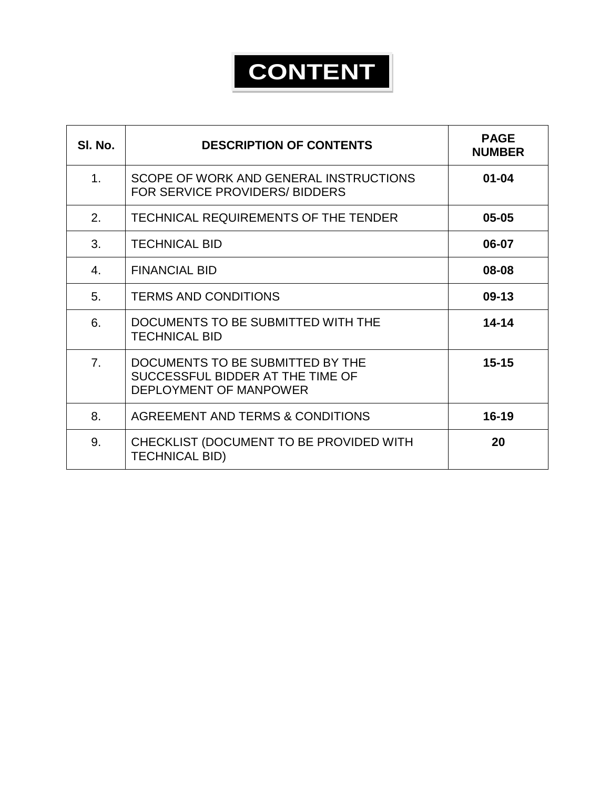# **CONTENT**

| SI. No.        | <b>DESCRIPTION OF CONTENTS</b>                                                                 | <b>PAGE</b><br><b>NUMBER</b> |
|----------------|------------------------------------------------------------------------------------------------|------------------------------|
| 1 <sub>1</sub> | SCOPE OF WORK AND GENERAL INSTRUCTIONS<br>FOR SERVICE PROVIDERS/ BIDDERS                       | $01 - 04$                    |
| 2.             | TECHNICAL REQUIREMENTS OF THE TENDER                                                           | $05 - 05$                    |
| 3.             | <b>TECHNICAL BID</b>                                                                           | 06-07                        |
| $4_{\cdot}$    | <b>FINANCIAL BID</b>                                                                           | 08-08                        |
| 5.             | <b>TERMS AND CONDITIONS</b>                                                                    | $09-13$                      |
| 6.             | DOCUMENTS TO BE SUBMITTED WITH THE<br><b>TECHNICAL BID</b>                                     | $14 - 14$                    |
| 7 <sub>1</sub> | DOCUMENTS TO BE SUBMITTED BY THE<br>SUCCESSFUL BIDDER AT THE TIME OF<br>DEPLOYMENT OF MANPOWER | $15 - 15$                    |
| 8.             | AGREEMENT AND TERMS & CONDITIONS                                                               | $16 - 19$                    |
| 9.             | CHECKLIST (DOCUMENT TO BE PROVIDED WITH<br><b>TECHNICAL BID)</b>                               | 20                           |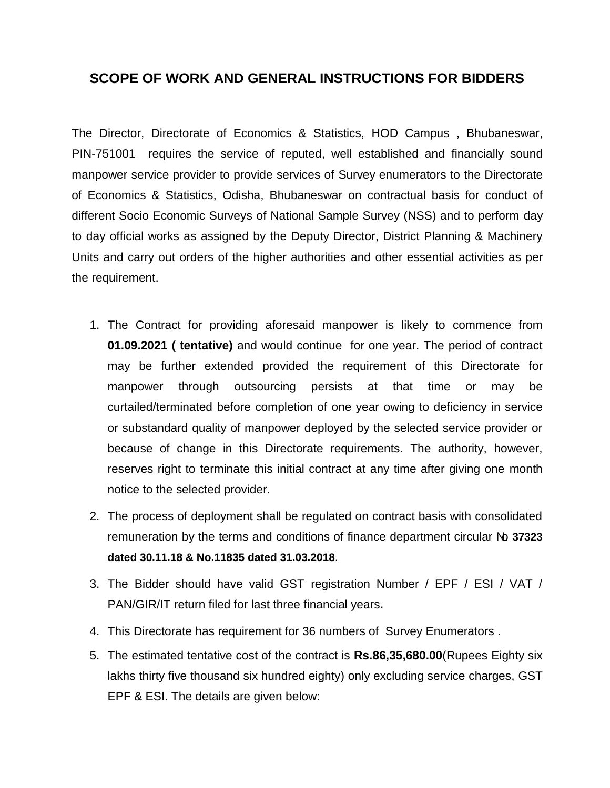#### **SCOPE OF WORK AND GENERAL INSTRUCTIONS FOR BIDDERS**

The Director, Directorate of Economics & Statistics, HOD Campus , Bhubaneswar, PIN-751001 requires the service of reputed, well established and financially sound manpower service provider to provide services of Survey enumerators to the Directorate of Economics & Statistics, Odisha, Bhubaneswar on contractual basis for conduct of different Socio Economic Surveys of National Sample Survey (NSS) and to perform day to day official works as assigned by the Deputy Director, District Planning & Machinery Units and carry out orders of the higher authorities and other essential activities as per the requirement.

- 1. The Contract for providing aforesaid manpower is likely to commence from **01.09.2021 ( tentative)** and would continue for one year. The period of contract may be further extended provided the requirement of this Directorate for manpower through outsourcing persists at that time or may be curtailed/terminated before completion of one year owing to deficiency in service or substandard quality of manpower deployed by the selected service provider or because of change in this Directorate requirements. The authority, however, reserves right to terminate this initial contract at any time after giving one month notice to the selected provider.
- 2. The process of deployment shall be regulated on contract basis with consolidated remuneration by the terms and conditions of finance department circular No. **37323 dated 30.11.18 & No.11835 dated 31.03.2018**.
- 3. The Bidder should have valid GST registration Number / EPF / ESI / VAT / PAN/GIR/IT return filed for last three financial years**.**
- 4. This Directorate has requirement for 36 numbers of Survey Enumerators .
- 5. The estimated tentative cost of the contract is **Rs.86,35,680.00**(Rupees Eighty six lakhs thirty five thousand six hundred eighty) only excluding service charges, GST EPF & ESI. The details are given below: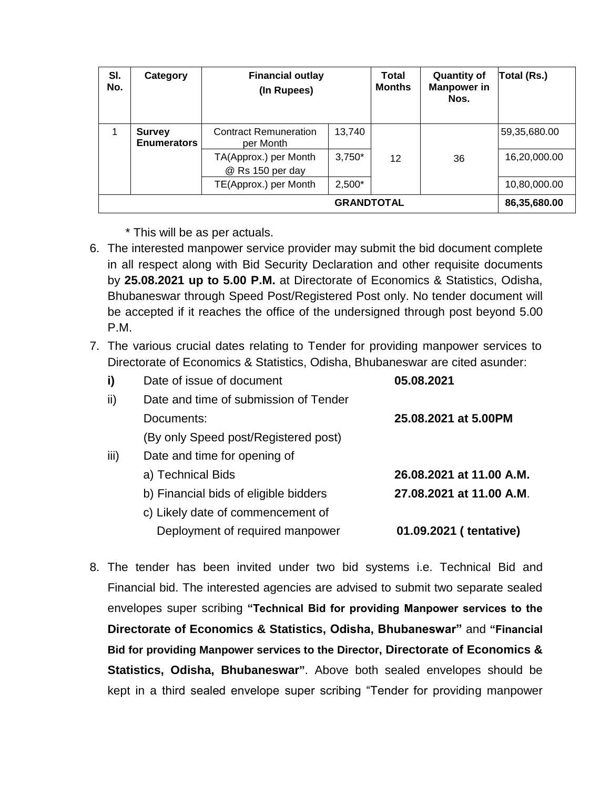| SI.<br>No. | Category                            | <b>Financial outlay</b><br>(In Rupees)    |          | <b>Total</b><br><b>Months</b> | <b>Quantity of</b><br><b>Manpower</b> in<br>Nos. | Total (Rs.)  |
|------------|-------------------------------------|-------------------------------------------|----------|-------------------------------|--------------------------------------------------|--------------|
|            | <b>Survey</b><br><b>Enumerators</b> | <b>Contract Remuneration</b><br>per Month | 13,740   |                               |                                                  | 59,35,680.00 |
|            |                                     | TA(Approx.) per Month<br>@ Rs 150 per day | $3,750*$ | 12                            | 36                                               | 16,20,000.00 |
|            |                                     | TE(Approx.) per Month                     | $2,500*$ |                               |                                                  | 10,80,000.00 |
|            | 86,35,680.00                        |                                           |          |                               |                                                  |              |

\* This will be as per actuals.

- 6. The interested manpower service provider may submit the bid document complete in all respect along with Bid Security Declaration and other requisite documents by **25.08.2021 up to 5.00 P.M.** at Directorate of Economics & Statistics, Odisha, Bhubaneswar through Speed Post/Registered Post only. No tender document will be accepted if it reaches the office of the undersigned through post beyond 5.00 P.M.
- 7. The various crucial dates relating to Tender for providing manpower services to Directorate of Economics & Statistics, Odisha, Bhubaneswar are cited asunder:

| i)   | Date of issue of document             | 05.08.2021               |
|------|---------------------------------------|--------------------------|
| ii)  | Date and time of submission of Tender |                          |
|      | Documents:                            | 25.08.2021 at 5.00PM     |
|      | (By only Speed post/Registered post)  |                          |
| iii) | Date and time for opening of          |                          |
|      | a) Technical Bids                     | 26.08.2021 at 11.00 A.M. |
|      | b) Financial bids of eligible bidders | 27.08.2021 at 11.00 A.M. |
|      | c) Likely date of commencement of     |                          |
|      | Deployment of required manpower       | 01.09.2021 (tentative)   |
|      |                                       |                          |

8. The tender has been invited under two bid systems i.e. Technical Bid and Financial bid. The interested agencies are advised to submit two separate sealed envelopes super scribing **"Technical Bid for providing Manpower services to the Directorate of Economics & Statistics, Odisha, Bhubaneswar"** and **"Financial Bid for providing Manpower services to the Director, Directorate of Economics & Statistics, Odisha, Bhubaneswar"**. Above both sealed envelopes should be kept in a third sealed envelope super scribing "Tender for providing manpower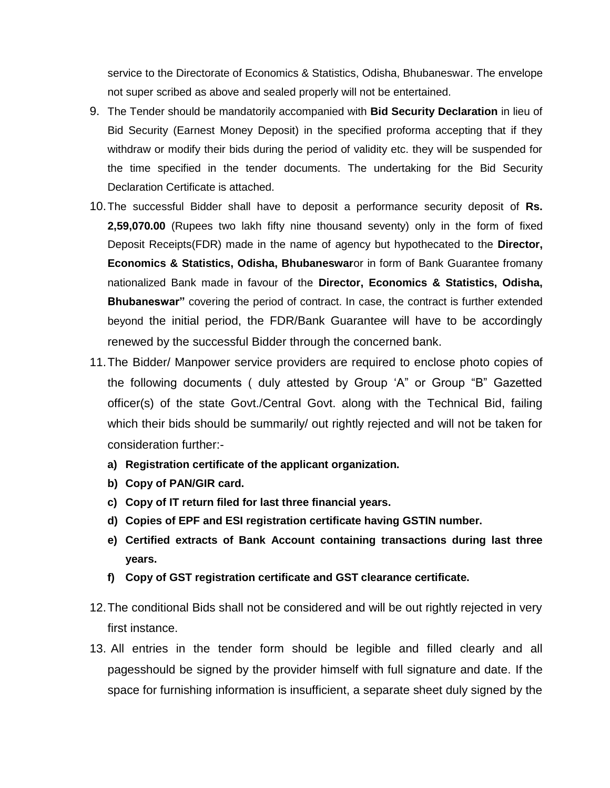service to the Directorate of Economics & Statistics, Odisha, Bhubaneswar. The envelope not super scribed as above and sealed properly will not be entertained.

- 9. The Tender should be mandatorily accompanied with **Bid Security Declaration** in lieu of Bid Security (Earnest Money Deposit) in the specified proforma accepting that if they withdraw or modify their bids during the period of validity etc. they will be suspended for the time specified in the tender documents. The undertaking for the Bid Security Declaration Certificate is attached.
- 10.The successful Bidder shall have to deposit a performance security deposit of **Rs. 2,59,070.00** (Rupees two lakh fifty nine thousand seventy) only in the form of fixed Deposit Receipts(FDR) made in the name of agency but hypothecated to the **Director, Economics & Statistics, Odisha, Bhubaneswar**or in form of Bank Guarantee fromany nationalized Bank made in favour of the **Director, Economics & Statistics, Odisha, Bhubaneswar"** covering the period of contract. In case, the contract is further extended beyond the initial period, the FDR/Bank Guarantee will have to be accordingly renewed by the successful Bidder through the concerned bank.
- 11.The Bidder/ Manpower service providers are required to enclose photo copies of the following documents ( duly attested by Group 'A" or Group "B" Gazetted officer(s) of the state Govt./Central Govt. along with the Technical Bid, failing which their bids should be summarily/ out rightly rejected and will not be taken for consideration further:
	- **a) Registration certificate of the applicant organization.**
	- **b) Copy of PAN/GIR card.**
	- **c) Copy of IT return filed for last three financial years.**
	- **d) Copies of EPF and ESI registration certificate having GSTIN number.**
	- **e) Certified extracts of Bank Account containing transactions during last three years.**
	- **f) Copy of GST registration certificate and GST clearance certificate.**
- 12.The conditional Bids shall not be considered and will be out rightly rejected in very first instance.
- 13. All entries in the tender form should be legible and filled clearly and all pagesshould be signed by the provider himself with full signature and date. If the space for furnishing information is insufficient, a separate sheet duly signed by the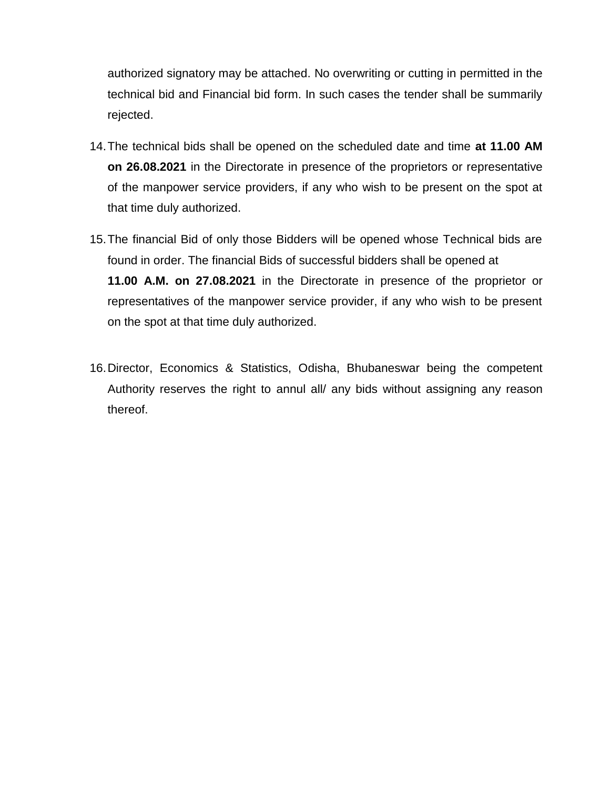authorized signatory may be attached. No overwriting or cutting in permitted in the technical bid and Financial bid form. In such cases the tender shall be summarily rejected.

- 14.The technical bids shall be opened on the scheduled date and time **at 11.00 AM on 26.08.2021** in the Directorate in presence of the proprietors or representative of the manpower service providers, if any who wish to be present on the spot at that time duly authorized.
- 15.The financial Bid of only those Bidders will be opened whose Technical bids are found in order. The financial Bids of successful bidders shall be opened at **11.00 A.M. on 27.08.2021** in the Directorate in presence of the proprietor or representatives of the manpower service provider, if any who wish to be present on the spot at that time duly authorized.
- 16.Director, Economics & Statistics, Odisha, Bhubaneswar being the competent Authority reserves the right to annul all/ any bids without assigning any reason thereof.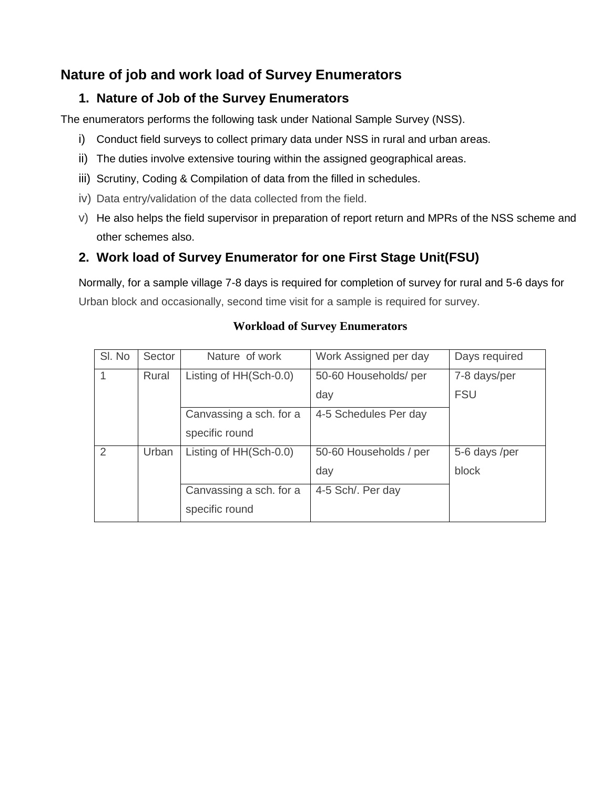#### **Nature of job and work load of Survey Enumerators**

#### **1. Nature of Job of the Survey Enumerators**

The enumerators performs the following task under National Sample Survey (NSS).

- i) Conduct field surveys to collect primary data under NSS in rural and urban areas.
- ii) The duties involve extensive touring within the assigned geographical areas.
- iii) Scrutiny, Coding & Compilation of data from the filled in schedules.
- iv) Data entry/validation of the data collected from the field.
- v) He also helps the field supervisor in preparation of report return and MPRs of the NSS scheme and other schemes also.

#### **2. Work load of Survey Enumerator for one First Stage Unit(FSU)**

Normally, for a sample village 7-8 days is required for completion of survey for rural and 5-6 days for Urban block and occasionally, second time visit for a sample is required for survey.

| SI. No         | Sector | Nature of work          | Work Assigned per day  | Days required |
|----------------|--------|-------------------------|------------------------|---------------|
|                | Rural  | Listing of HH(Sch-0.0)  | 50-60 Households/ per  | 7-8 days/per  |
|                |        |                         | day                    | <b>FSU</b>    |
|                |        | Canvassing a sch. for a | 4-5 Schedules Per day  |               |
|                |        | specific round          |                        |               |
| $\mathfrak{D}$ | Urban  | Listing of HH(Sch-0.0)  | 50-60 Households / per | 5-6 days /per |
|                |        |                         | day                    | block         |
|                |        | Canvassing a sch. for a | 4-5 Sch/. Per day      |               |
|                |        | specific round          |                        |               |

#### **Workload of Survey Enumerators**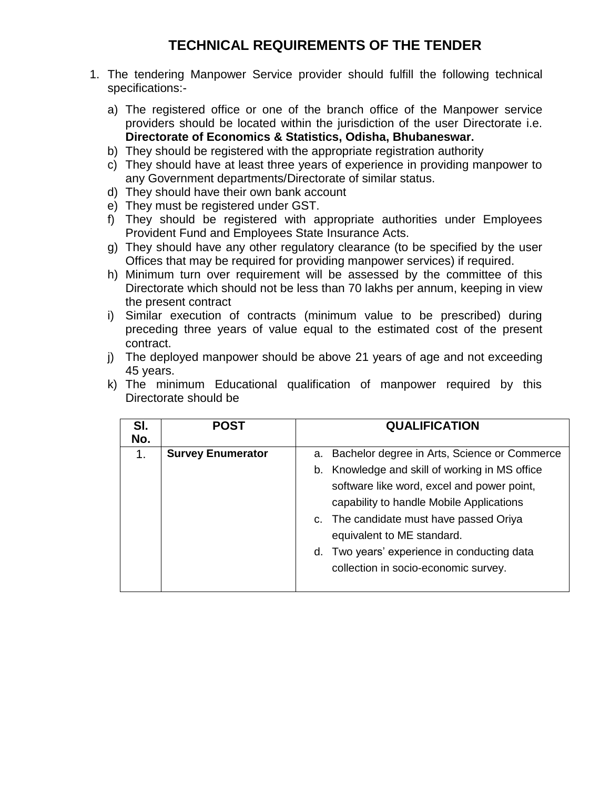#### **TECHNICAL REQUIREMENTS OF THE TENDER**

- 1. The tendering Manpower Service provider should fulfill the following technical specifications:
	- a) The registered office or one of the branch office of the Manpower service providers should be located within the jurisdiction of the user Directorate i.e. **Directorate of Economics & Statistics, Odisha, Bhubaneswar.**
	- b) They should be registered with the appropriate registration authority
	- c) They should have at least three years of experience in providing manpower to any Government departments/Directorate of similar status.
	- d) They should have their own bank account
	- e) They must be registered under GST.
	- f) They should be registered with appropriate authorities under Employees Provident Fund and Employees State Insurance Acts.
	- g) They should have any other regulatory clearance (to be specified by the user Offices that may be required for providing manpower services) if required.
	- h) Minimum turn over requirement will be assessed by the committee of this Directorate which should not be less than 70 lakhs per annum, keeping in view the present contract
	- i) Similar execution of contracts (minimum value to be prescribed) during preceding three years of value equal to the estimated cost of the present contract.
	- j) The deployed manpower should be above 21 years of age and not exceeding 45 years.

| SI.<br>No. | POST                     | <b>QUALIFICATION</b>                            |
|------------|--------------------------|-------------------------------------------------|
| 1.         | <b>Survey Enumerator</b> | a. Bachelor degree in Arts, Science or Commerce |
|            |                          | b. Knowledge and skill of working in MS office  |
|            |                          | software like word, excel and power point,      |
|            |                          | capability to handle Mobile Applications        |
|            |                          | c. The candidate must have passed Oriya         |
|            |                          | equivalent to ME standard.                      |
|            |                          | d. Two years' experience in conducting data     |
|            |                          | collection in socio-economic survey.            |

k) The minimum Educational qualification of manpower required by this Directorate should be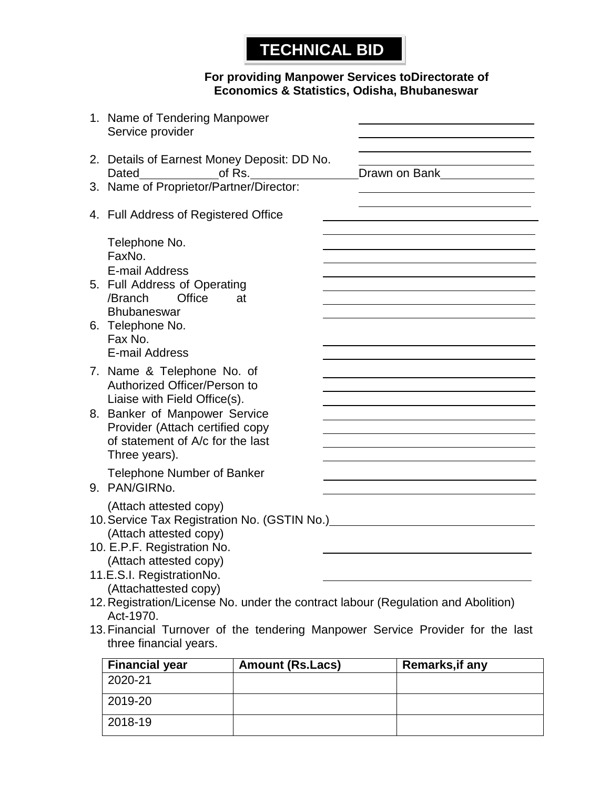### **TECHNICAL BID**

#### **For providing Manpower Services toDirectorate of Economics & Statistics, Odisha, Bhubaneswar**

| 1. Name of Tendering Manpower<br>Service provider                                                                                                                                                                   |               |
|---------------------------------------------------------------------------------------------------------------------------------------------------------------------------------------------------------------------|---------------|
| 2. Details of Earnest Money Deposit: DD No.<br>Dated of Rs.                                                                                                                                                         | Drawn on Bank |
| 3. Name of Proprietor/Partner/Director:                                                                                                                                                                             |               |
| 4. Full Address of Registered Office                                                                                                                                                                                |               |
| Telephone No.<br>FaxNo.<br>E-mail Address                                                                                                                                                                           |               |
| 5. Full Address of Operating<br>Office<br>/Branch<br>at<br>Bhubaneswar                                                                                                                                              |               |
| 6. Telephone No.<br>Fax No.<br><b>E-mail Address</b>                                                                                                                                                                |               |
| 7. Name & Telephone No. of<br>Authorized Officer/Person to<br>Liaise with Field Office(s).<br>8. Banker of Manpower Service<br>Provider (Attach certified copy<br>of statement of A/c for the last<br>Three years). |               |
| <b>Telephone Number of Banker</b><br>9. PAN/GIRNo.                                                                                                                                                                  |               |
| (Attach attested copy)<br>10. Service Tax Registration No. (GSTIN No.) [10]<br>(Attach attested copy)                                                                                                               |               |
| 10. E.P.F. Registration No.<br>(Attach attested copy)                                                                                                                                                               |               |
| 11.E.S.I. RegistrationNo.<br>(Attachattested copy)                                                                                                                                                                  |               |
| 12. Registration/License No. under the contract labour (Regulation and Abolition)<br>Act-1970.                                                                                                                      |               |
| 13. Financial Turnover of the tendering Manpower Service Provider for the last<br>three financial years.                                                                                                            |               |

| <b>Financial year</b> | <b>Amount (Rs.Lacs)</b> | Remarks, if any |
|-----------------------|-------------------------|-----------------|
| 2020-21               |                         |                 |
| 2019-20               |                         |                 |
| 2018-19               |                         |                 |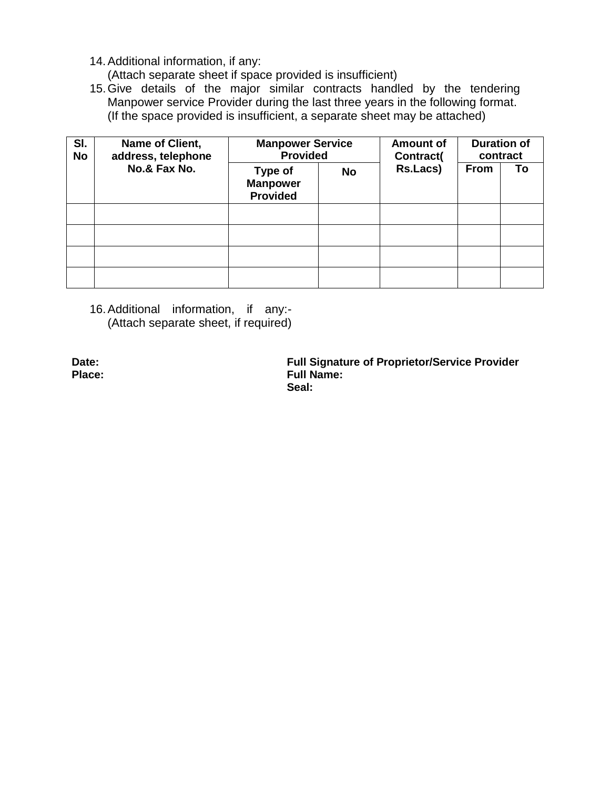14.Additional information, if any:

(Attach separate sheet if space provided is insufficient)

15.Give details of the major similar contracts handled by the tendering Manpower service Provider during the last three years in the following format. (If the space provided is insufficient, a separate sheet may be attached)

| SI.<br><b>No</b> | Name of Client,<br>address, telephone | <b>Manpower Service</b><br><b>Provided</b>    |           | <b>Amount of</b><br>Contract( | <b>Duration of</b><br>contract |    |  |
|------------------|---------------------------------------|-----------------------------------------------|-----------|-------------------------------|--------------------------------|----|--|
|                  | No.& Fax No.                          | Type of<br><b>Manpower</b><br><b>Provided</b> | <b>No</b> | Rs.Lacs)                      | <b>From</b>                    | To |  |
|                  |                                       |                                               |           |                               |                                |    |  |
|                  |                                       |                                               |           |                               |                                |    |  |
|                  |                                       |                                               |           |                               |                                |    |  |
|                  |                                       |                                               |           |                               |                                |    |  |

16.Additional information, if any:- (Attach separate sheet, if required)

**Date: Full Signature of Proprietor/Service Provider Place: Full Name: Seal:**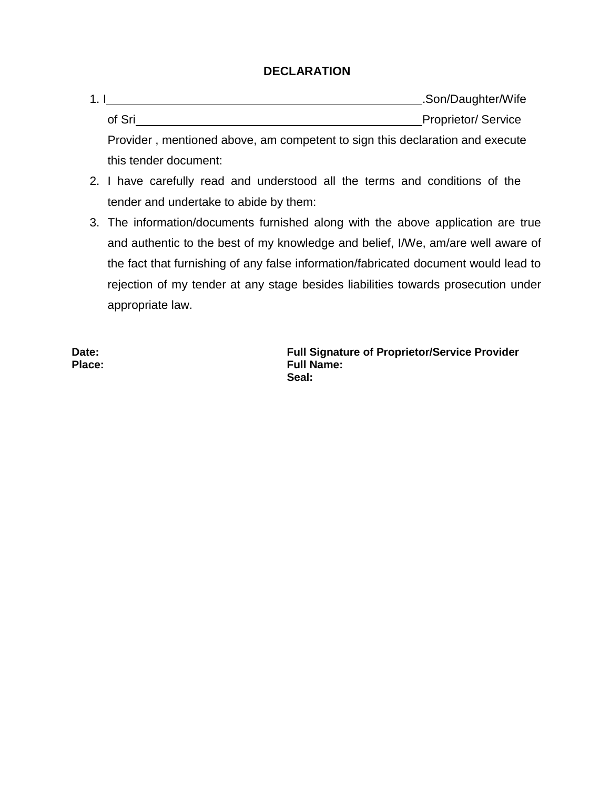#### **DECLARATION**

- 1. I Letter that the same state of the state of the state of the Son/Daughter/Wife of Sri Proprietor/ Service Provider , mentioned above, am competent to sign this declaration and execute this tender document:
- 2. I have carefully read and understood all the terms and conditions of the tender and undertake to abide by them:
- 3. The information/documents furnished along with the above application are true and authentic to the best of my knowledge and belief, I/We, am/are well aware of the fact that furnishing of any false information/fabricated document would lead to rejection of my tender at any stage besides liabilities towards prosecution under appropriate law.

**Date: Full Signature of Proprietor/Service Provider Place: Full Name: Seal:**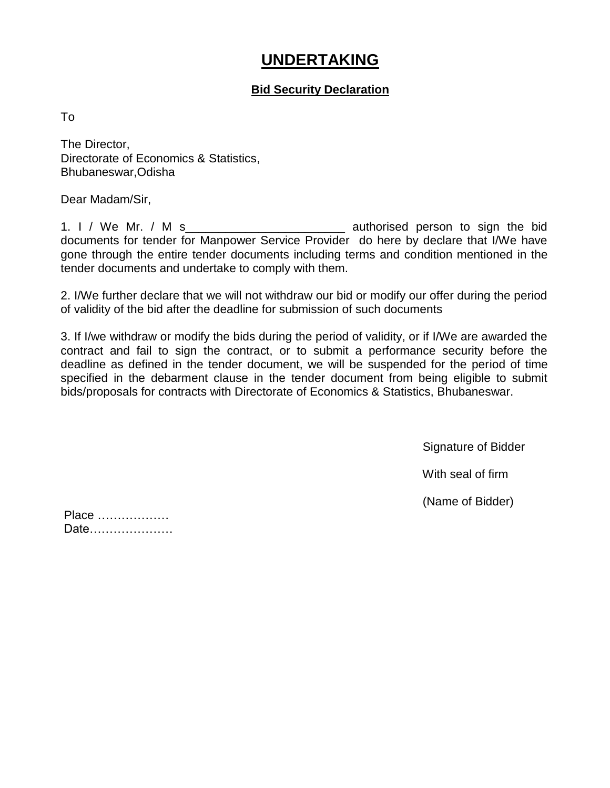### **UNDERTAKING**

#### **Bid Security Declaration**

To

The Director, Directorate of Economics & Statistics, Bhubaneswar,Odisha

Dear Madam/Sir,

1. I / We Mr. / M s\_\_\_\_\_\_\_\_\_\_\_\_\_\_\_\_\_\_\_\_\_\_\_\_ authorised person to sign the bid documents for tender for Manpower Service Provider do here by declare that I/We have gone through the entire tender documents including terms and condition mentioned in the tender documents and undertake to comply with them.

2. I/We further declare that we will not withdraw our bid or modify our offer during the period of validity of the bid after the deadline for submission of such documents

3. If I/we withdraw or modify the bids during the period of validity, or if I/We are awarded the contract and fail to sign the contract, or to submit a performance security before the deadline as defined in the tender document, we will be suspended for the period of time specified in the debarment clause in the tender document from being eligible to submit bids/proposals for contracts with Directorate of Economics & Statistics, Bhubaneswar.

Signature of Bidder

With seal of firm

(Name of Bidder)

| Place |  |  |  |  |  |  |  |  |  |  |
|-------|--|--|--|--|--|--|--|--|--|--|
| Date  |  |  |  |  |  |  |  |  |  |  |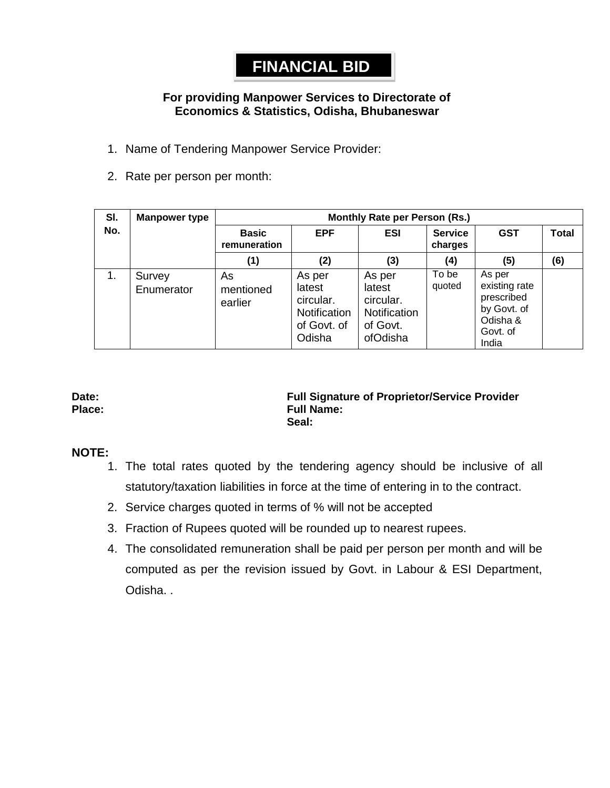### **FINANCIAL BID**

#### **For providing Manpower Services to Directorate of Economics & Statistics, Odisha, Bhubaneswar**

- 1. Name of Tendering Manpower Service Provider:
- 2. Rate per person per month:

| SI. | <b>Manpower type</b> | Monthly Rate per Person (Rs.)       |                                                                        |                                                                       |                           |                                                                                       |              |  |  |  |
|-----|----------------------|-------------------------------------|------------------------------------------------------------------------|-----------------------------------------------------------------------|---------------------------|---------------------------------------------------------------------------------------|--------------|--|--|--|
| No. |                      | EPF<br><b>Basic</b><br>remuneration |                                                                        | ESI                                                                   | <b>Service</b><br>charges | <b>GST</b>                                                                            | <b>Total</b> |  |  |  |
|     |                      | (1)                                 | (2)                                                                    | (3)                                                                   | (4)                       | (5)                                                                                   | (6)          |  |  |  |
| 1.  | Survey<br>Enumerator | As<br>mentioned<br>earlier          | As per<br>latest<br>circular.<br>Notification<br>of Govt. of<br>Odisha | As per<br>latest<br>circular.<br>Notification<br>of Govt.<br>ofOdisha | To be<br>quoted           | As per<br>existing rate<br>prescribed<br>by Govt. of<br>Odisha &<br>Govt. of<br>India |              |  |  |  |

#### **Date: Full Signature of Proprietor/Service Provider Place: Full Name: Seal:**

#### **NOTE:**

- 1. The total rates quoted by the tendering agency should be inclusive of all statutory/taxation liabilities in force at the time of entering in to the contract.
- 2. Service charges quoted in terms of % will not be accepted
- 3. Fraction of Rupees quoted will be rounded up to nearest rupees.
- 4. The consolidated remuneration shall be paid per person per month and will be computed as per the revision issued by Govt. in Labour & ESI Department, Odisha. .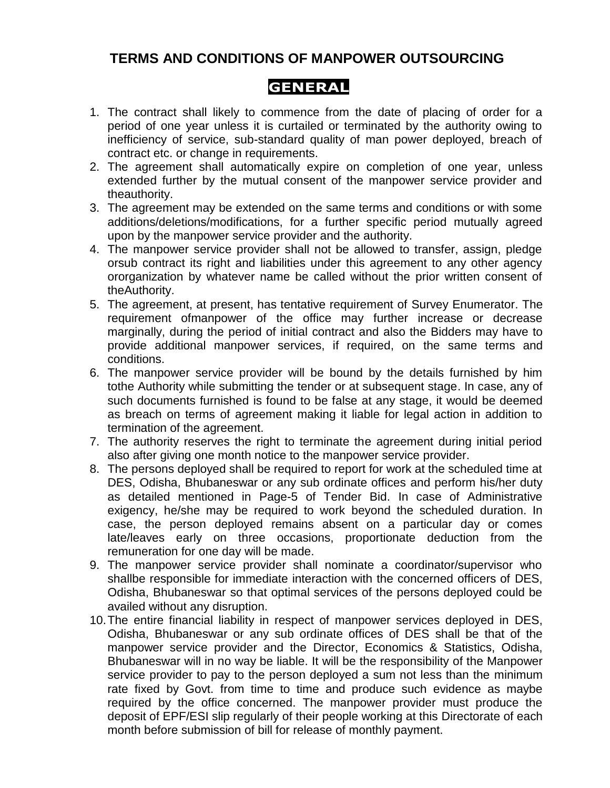#### **TERMS AND CONDITIONS OF MANPOWER OUTSOURCING**

#### **GENERAL**

- 1. The contract shall likely to commence from the date of placing of order for a period of one year unless it is curtailed or terminated by the authority owing to inefficiency of service, sub-standard quality of man power deployed, breach of contract etc. or change in requirements.
- 2. The agreement shall automatically expire on completion of one year, unless extended further by the mutual consent of the manpower service provider and theauthority.
- 3. The agreement may be extended on the same terms and conditions or with some additions/deletions/modifications, for a further specific period mutually agreed upon by the manpower service provider and the authority.
- 4. The manpower service provider shall not be allowed to transfer, assign, pledge orsub contract its right and liabilities under this agreement to any other agency ororganization by whatever name be called without the prior written consent of theAuthority.
- 5. The agreement, at present, has tentative requirement of Survey Enumerator. The requirement ofmanpower of the office may further increase or decrease marginally, during the period of initial contract and also the Bidders may have to provide additional manpower services, if required, on the same terms and conditions.
- 6. The manpower service provider will be bound by the details furnished by him tothe Authority while submitting the tender or at subsequent stage. In case, any of such documents furnished is found to be false at any stage, it would be deemed as breach on terms of agreement making it liable for legal action in addition to termination of the agreement.
- 7. The authority reserves the right to terminate the agreement during initial period also after giving one month notice to the manpower service provider.
- 8. The persons deployed shall be required to report for work at the scheduled time at DES, Odisha, Bhubaneswar or any sub ordinate offices and perform his/her duty as detailed mentioned in Page-5 of Tender Bid. In case of Administrative exigency, he/she may be required to work beyond the scheduled duration. In case, the person deployed remains absent on a particular day or comes late/leaves early on three occasions, proportionate deduction from the remuneration for one day will be made.
- 9. The manpower service provider shall nominate a coordinator/supervisor who shallbe responsible for immediate interaction with the concerned officers of DES, Odisha, Bhubaneswar so that optimal services of the persons deployed could be availed without any disruption.
- 10.The entire financial liability in respect of manpower services deployed in DES, Odisha, Bhubaneswar or any sub ordinate offices of DES shall be that of the manpower service provider and the Director, Economics & Statistics, Odisha, Bhubaneswar will in no way be liable. It will be the responsibility of the Manpower service provider to pay to the person deployed a sum not less than the minimum rate fixed by Govt. from time to time and produce such evidence as maybe required by the office concerned. The manpower provider must produce the deposit of EPF/ESI slip regularly of their people working at this Directorate of each month before submission of bill for release of monthly payment.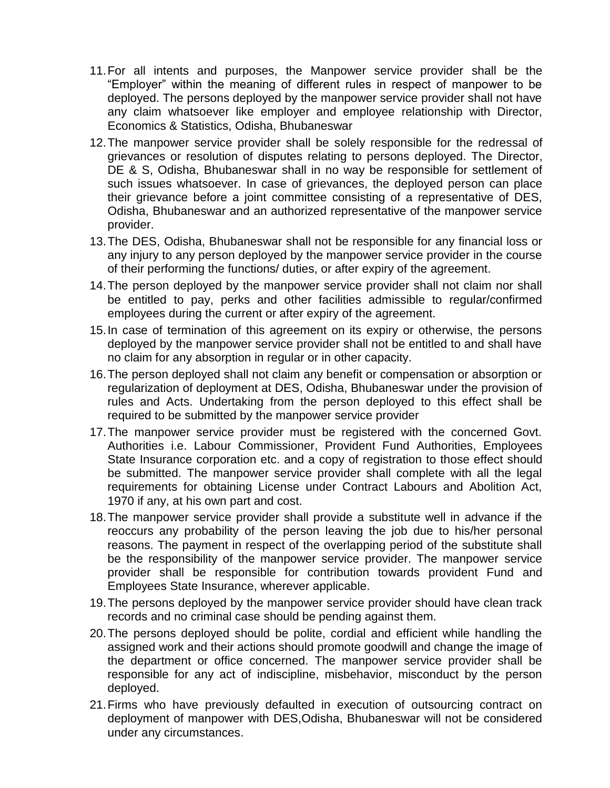- 11.For all intents and purposes, the Manpower service provider shall be the "Employer" within the meaning of different rules in respect of manpower to be deployed. The persons deployed by the manpower service provider shall not have any claim whatsoever like employer and employee relationship with Director, Economics & Statistics, Odisha, Bhubaneswar
- 12.The manpower service provider shall be solely responsible for the redressal of grievances or resolution of disputes relating to persons deployed. The Director, DE & S, Odisha, Bhubaneswar shall in no way be responsible for settlement of such issues whatsoever. In case of grievances, the deployed person can place their grievance before a joint committee consisting of a representative of DES, Odisha, Bhubaneswar and an authorized representative of the manpower service provider.
- 13.The DES, Odisha, Bhubaneswar shall not be responsible for any financial loss or any injury to any person deployed by the manpower service provider in the course of their performing the functions/ duties, or after expiry of the agreement.
- 14.The person deployed by the manpower service provider shall not claim nor shall be entitled to pay, perks and other facilities admissible to regular/confirmed employees during the current or after expiry of the agreement.
- 15.In case of termination of this agreement on its expiry or otherwise, the persons deployed by the manpower service provider shall not be entitled to and shall have no claim for any absorption in regular or in other capacity.
- 16.The person deployed shall not claim any benefit or compensation or absorption or regularization of deployment at DES, Odisha, Bhubaneswar under the provision of rules and Acts. Undertaking from the person deployed to this effect shall be required to be submitted by the manpower service provider
- 17.The manpower service provider must be registered with the concerned Govt. Authorities i.e. Labour Commissioner, Provident Fund Authorities, Employees State Insurance corporation etc. and a copy of registration to those effect should be submitted. The manpower service provider shall complete with all the legal requirements for obtaining License under Contract Labours and Abolition Act, 1970 if any, at his own part and cost.
- 18.The manpower service provider shall provide a substitute well in advance if the reoccurs any probability of the person leaving the job due to his/her personal reasons. The payment in respect of the overlapping period of the substitute shall be the responsibility of the manpower service provider. The manpower service provider shall be responsible for contribution towards provident Fund and Employees State Insurance, wherever applicable.
- 19.The persons deployed by the manpower service provider should have clean track records and no criminal case should be pending against them.
- 20.The persons deployed should be polite, cordial and efficient while handling the assigned work and their actions should promote goodwill and change the image of the department or office concerned. The manpower service provider shall be responsible for any act of indiscipline, misbehavior, misconduct by the person deployed.
- 21.Firms who have previously defaulted in execution of outsourcing contract on deployment of manpower with DES,Odisha, Bhubaneswar will not be considered under any circumstances.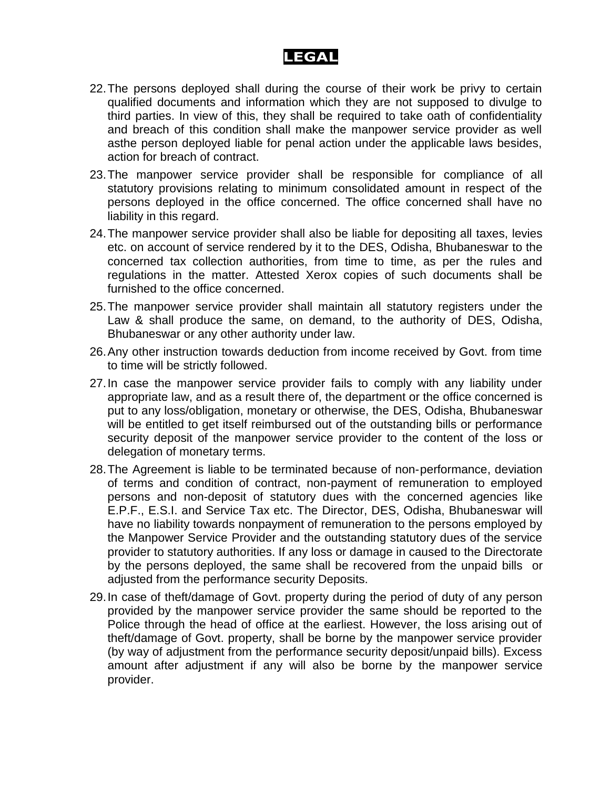### **LEGAL**

- 22.The persons deployed shall during the course of their work be privy to certain qualified documents and information which they are not supposed to divulge to third parties. In view of this, they shall be required to take oath of confidentiality and breach of this condition shall make the manpower service provider as well asthe person deployed liable for penal action under the applicable laws besides, action for breach of contract.
- 23.The manpower service provider shall be responsible for compliance of all statutory provisions relating to minimum consolidated amount in respect of the persons deployed in the office concerned. The office concerned shall have no liability in this regard.
- 24.The manpower service provider shall also be liable for depositing all taxes, levies etc. on account of service rendered by it to the DES, Odisha, Bhubaneswar to the concerned tax collection authorities, from time to time, as per the rules and regulations in the matter. Attested Xerox copies of such documents shall be furnished to the office concerned.
- 25.The manpower service provider shall maintain all statutory registers under the Law & shall produce the same, on demand, to the authority of DES, Odisha, Bhubaneswar or any other authority under law.
- 26.Any other instruction towards deduction from income received by Govt. from time to time will be strictly followed.
- 27.In case the manpower service provider fails to comply with any liability under appropriate law, and as a result there of, the department or the office concerned is put to any loss/obligation, monetary or otherwise, the DES, Odisha, Bhubaneswar will be entitled to get itself reimbursed out of the outstanding bills or performance security deposit of the manpower service provider to the content of the loss or delegation of monetary terms.
- 28.The Agreement is liable to be terminated because of non-performance, deviation of terms and condition of contract, non-payment of remuneration to employed persons and non-deposit of statutory dues with the concerned agencies like E.P.F., E.S.I. and Service Tax etc. The Director, DES, Odisha, Bhubaneswar will have no liability towards nonpayment of remuneration to the persons employed by the Manpower Service Provider and the outstanding statutory dues of the service provider to statutory authorities. If any loss or damage in caused to the Directorate by the persons deployed, the same shall be recovered from the unpaid bills or adjusted from the performance security Deposits.
- 29.In case of theft/damage of Govt. property during the period of duty of any person provided by the manpower service provider the same should be reported to the Police through the head of office at the earliest. However, the loss arising out of theft/damage of Govt. property, shall be borne by the manpower service provider (by way of adjustment from the performance security deposit/unpaid bills). Excess amount after adjustment if any will also be borne by the manpower service provider.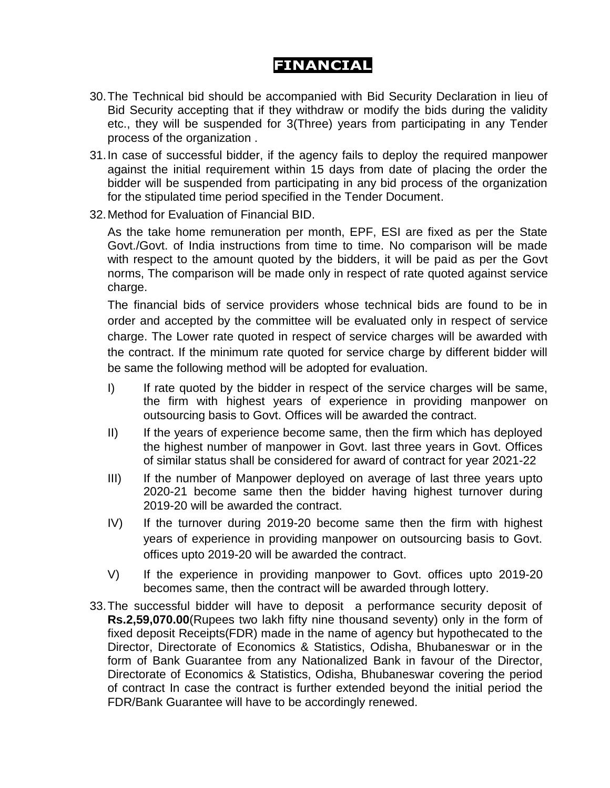### **FINANCIAL**

- 30.The Technical bid should be accompanied with Bid Security Declaration in lieu of Bid Security accepting that if they withdraw or modify the bids during the validity etc., they will be suspended for 3(Three) years from participating in any Tender process of the organization .
- 31.In case of successful bidder, if the agency fails to deploy the required manpower against the initial requirement within 15 days from date of placing the order the bidder will be suspended from participating in any bid process of the organization for the stipulated time period specified in the Tender Document.
- 32.Method for Evaluation of Financial BID.

As the take home remuneration per month, EPF, ESI are fixed as per the State Govt./Govt. of India instructions from time to time. No comparison will be made with respect to the amount quoted by the bidders, it will be paid as per the Govt norms, The comparison will be made only in respect of rate quoted against service charge.

The financial bids of service providers whose technical bids are found to be in order and accepted by the committee will be evaluated only in respect of service charge. The Lower rate quoted in respect of service charges will be awarded with the contract. If the minimum rate quoted for service charge by different bidder will be same the following method will be adopted for evaluation.

- I) If rate quoted by the bidder in respect of the service charges will be same, the firm with highest years of experience in providing manpower on outsourcing basis to Govt. Offices will be awarded the contract.
- II) If the years of experience become same, then the firm which has deployed the highest number of manpower in Govt. last three years in Govt. Offices of similar status shall be considered for award of contract for year 2021-22
- III) If the number of Manpower deployed on average of last three years upto 2020-21 become same then the bidder having highest turnover during 2019-20 will be awarded the contract.
- IV) If the turnover during 2019-20 become same then the firm with highest years of experience in providing manpower on outsourcing basis to Govt. offices upto 2019-20 will be awarded the contract.
- V) If the experience in providing manpower to Govt. offices upto 2019-20 becomes same, then the contract will be awarded through lottery.
- 33.The successful bidder will have to deposit a performance security deposit of **Rs.2,59,070.00**(Rupees two lakh fifty nine thousand seventy) only in the form of fixed deposit Receipts(FDR) made in the name of agency but hypothecated to the Director, Directorate of Economics & Statistics, Odisha, Bhubaneswar or in the form of Bank Guarantee from any Nationalized Bank in favour of the Director, Directorate of Economics & Statistics, Odisha, Bhubaneswar covering the period of contract In case the contract is further extended beyond the initial period the FDR/Bank Guarantee will have to be accordingly renewed.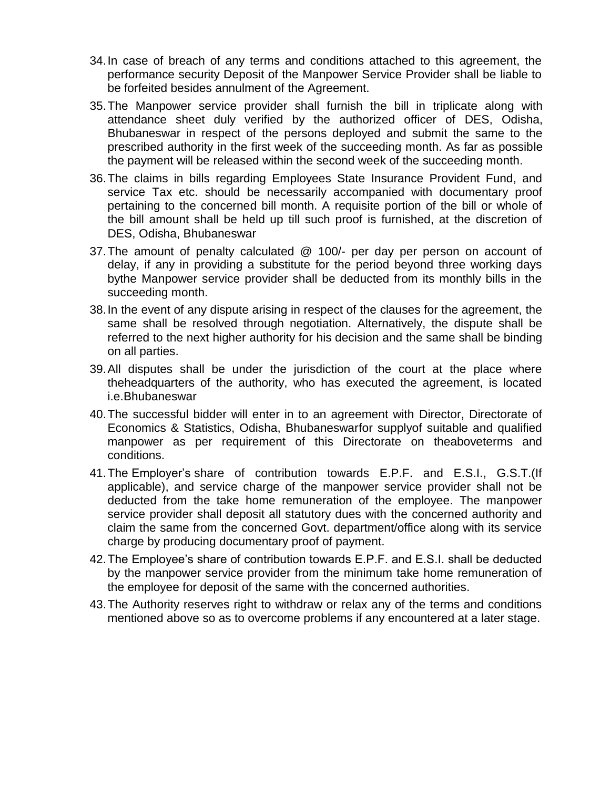- 34.In case of breach of any terms and conditions attached to this agreement, the performance security Deposit of the Manpower Service Provider shall be liable to be forfeited besides annulment of the Agreement.
- 35.The Manpower service provider shall furnish the bill in triplicate along with attendance sheet duly verified by the authorized officer of DES, Odisha, Bhubaneswar in respect of the persons deployed and submit the same to the prescribed authority in the first week of the succeeding month. As far as possible the payment will be released within the second week of the succeeding month.
- 36.The claims in bills regarding Employees State Insurance Provident Fund, and service Tax etc. should be necessarily accompanied with documentary proof pertaining to the concerned bill month. A requisite portion of the bill or whole of the bill amount shall be held up till such proof is furnished, at the discretion of DES, Odisha, Bhubaneswar
- 37.The amount of penalty calculated @ 100/- per day per person on account of delay, if any in providing a substitute for the period beyond three working days bythe Manpower service provider shall be deducted from its monthly bills in the succeeding month.
- 38.In the event of any dispute arising in respect of the clauses for the agreement, the same shall be resolved through negotiation. Alternatively, the dispute shall be referred to the next higher authority for his decision and the same shall be binding on all parties.
- 39.All disputes shall be under the jurisdiction of the court at the place where theheadquarters of the authority, who has executed the agreement, is located i.e.Bhubaneswar
- 40.The successful bidder will enter in to an agreement with Director, Directorate of Economics & Statistics, Odisha, Bhubaneswarfor supplyof suitable and qualified manpower as per requirement of this Directorate on theaboveterms and conditions.
- 41.The Employer's share of contribution towards E.P.F. and E.S.I., G.S.T.(If applicable), and service charge of the manpower service provider shall not be deducted from the take home remuneration of the employee. The manpower service provider shall deposit all statutory dues with the concerned authority and claim the same from the concerned Govt. department/office along with its service charge by producing documentary proof of payment.
- 42.The Employee's share of contribution towards E.P.F. and E.S.I. shall be deducted by the manpower service provider from the minimum take home remuneration of the employee for deposit of the same with the concerned authorities.
- 43.The Authority reserves right to withdraw or relax any of the terms and conditions mentioned above so as to overcome problems if any encountered at a later stage.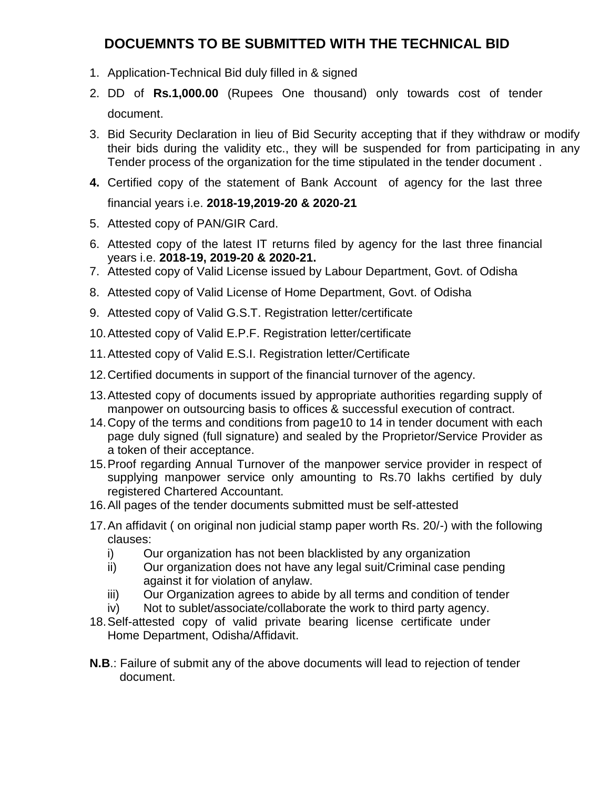#### **DOCUEMNTS TO BE SUBMITTED WITH THE TECHNICAL BID**

- 1. Application-Technical Bid duly filled in & signed
- 2. DD of **Rs.1,000.00** (Rupees One thousand) only towards cost of tender document.
- 3. Bid Security Declaration in lieu of Bid Security accepting that if they withdraw or modify their bids during the validity etc., they will be suspended for from participating in any Tender process of the organization for the time stipulated in the tender document .
- **4.** Certified copy of the statement of Bank Account of agency for the last three

#### financial years i.e. **2018-19,2019-20 & 2020-21**

- 5. Attested copy of PAN/GIR Card.
- 6. Attested copy of the latest IT returns filed by agency for the last three financial years i.e. **2018-19, 2019-20 & 2020-21.**
- 7. Attested copy of Valid License issued by Labour Department, Govt. of Odisha
- 8. Attested copy of Valid License of Home Department, Govt. of Odisha
- 9. Attested copy of Valid G.S.T. Registration letter/certificate
- 10.Attested copy of Valid E.P.F. Registration letter/certificate
- 11.Attested copy of Valid E.S.I. Registration letter/Certificate
- 12.Certified documents in support of the financial turnover of the agency.
- 13.Attested copy of documents issued by appropriate authorities regarding supply of manpower on outsourcing basis to offices & successful execution of contract.
- 14.Copy of the terms and conditions from page10 to 14 in tender document with each page duly signed (full signature) and sealed by the Proprietor/Service Provider as a token of their acceptance.
- 15.Proof regarding Annual Turnover of the manpower service provider in respect of supplying manpower service only amounting to Rs.70 lakhs certified by duly registered Chartered Accountant.
- 16.All pages of the tender documents submitted must be self-attested
- 17.An affidavit ( on original non judicial stamp paper worth Rs. 20/-) with the following clauses:
	- i) Our organization has not been blacklisted by any organization
	- ii) Our organization does not have any legal suit/Criminal case pending against it for violation of anylaw.
	- iii) Our Organization agrees to abide by all terms and condition of tender
	- iv) Not to sublet/associate/collaborate the work to third party agency.
- 18.Self-attested copy of valid private bearing license certificate under Home Department, Odisha/Affidavit.
- **N.B**.: Failure of submit any of the above documents will lead to rejection of tender document.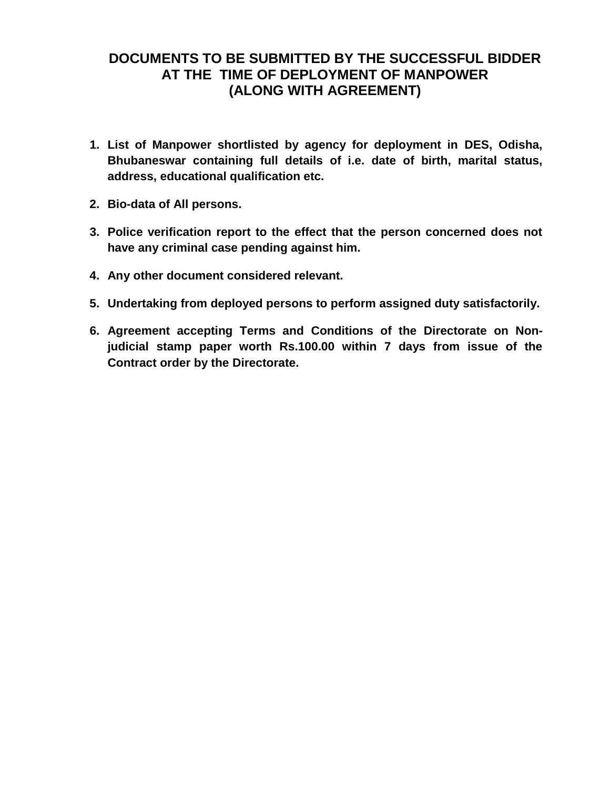#### **DOCUMENTS TO BE SUBMITTED BY THE SUCCESSFUL BIDDER AT THE TIME OF DEPLOYMENT OF MANPOWER (ALONG WITH AGREEMENT)**

- **1. List of Manpower shortlisted by agency for deployment in DES, Odisha, Bhubaneswar containing full details of i.e. date of birth, marital status, address, educational qualification etc.**
- **2. Bio-data of All persons.**
- **3. Police verification report to the effect that the person concerned does not have any criminal case pending against him.**
- **4. Any other document considered relevant.**
- **5. Undertaking from deployed persons to perform assigned duty satisfactorily.**
- **6. Agreement accepting Terms and Conditions of the Directorate on Nonjudicial stamp paper worth Rs.100.00 within 7 days from issue of the Contract order by the Directorate.**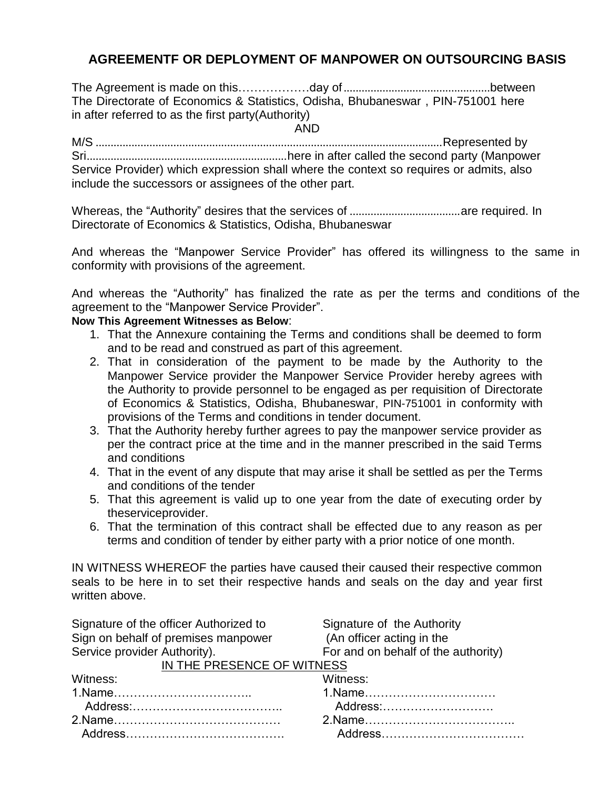#### **AGREEMENTF OR DEPLOYMENT OF MANPOWER ON OUTSOURCING BASIS**

The Agreement is made on this………………day of.................................................between The Directorate of Economics & Statistics, Odisha, Bhubaneswar , PIN-751001 here in after referred to as the first party(Authority)

AND

M/S ....................................................................................................................Represented by Sri...................................................................here in after called the second party (Manpower Service Provider) which expression shall where the context so requires or admits, also include the successors or assignees of the other part.

Whereas, the "Authority" desires that the services of .....................................are required. In Directorate of Economics & Statistics, Odisha, Bhubaneswar

And whereas the "Manpower Service Provider" has offered its willingness to the same in conformity with provisions of the agreement.

And whereas the "Authority" has finalized the rate as per the terms and conditions of the agreement to the "Manpower Service Provider".

#### **Now This Agreement Witnesses as Below**:

- 1. That the Annexure containing the Terms and conditions shall be deemed to form and to be read and construed as part of this agreement.
- 2. That in consideration of the payment to be made by the Authority to the Manpower Service provider the Manpower Service Provider hereby agrees with the Authority to provide personnel to be engaged as per requisition of Directorate of Economics & Statistics, Odisha, Bhubaneswar, PIN-751001 in conformity with provisions of the Terms and conditions in tender document.
- 3. That the Authority hereby further agrees to pay the manpower service provider as per the contract price at the time and in the manner prescribed in the said Terms and conditions
- 4. That in the event of any dispute that may arise it shall be settled as per the Terms and conditions of the tender
- 5. That this agreement is valid up to one year from the date of executing order by theserviceprovider.
- 6. That the termination of this contract shall be effected due to any reason as per terms and condition of tender by either party with a prior notice of one month.

IN WITNESS WHEREOF the parties have caused their caused their respective common seals to be here in to set their respective hands and seals on the day and year first written above.

| Signature of the officer Authorized to | Signature of the Authority          |
|----------------------------------------|-------------------------------------|
| Sign on behalf of premises manpower    | (An officer acting in the           |
| Service provider Authority).           | For and on behalf of the authority) |
| IN THE PRESENCE OF WITNESS             |                                     |
| Witness:                               | Witness:                            |
|                                        |                                     |
|                                        | Address:                            |
|                                        |                                     |
|                                        |                                     |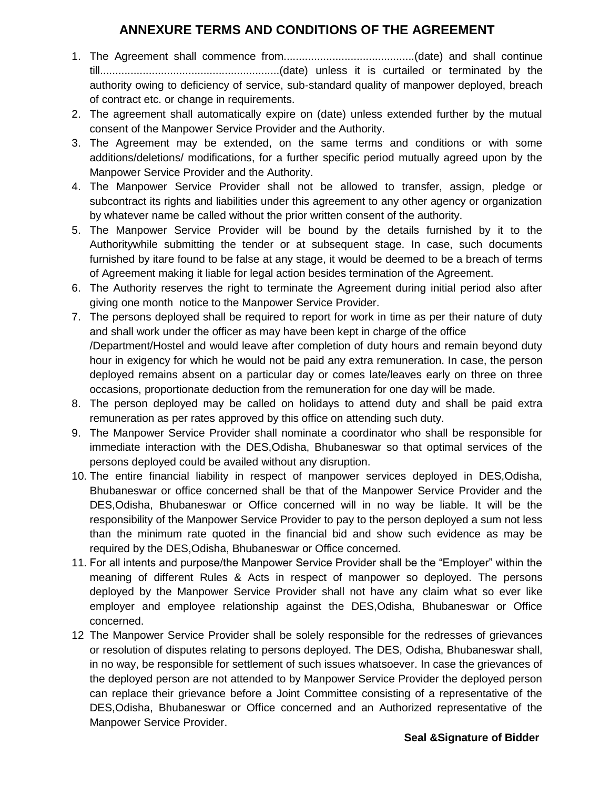#### **ANNEXURE TERMS AND CONDITIONS OF THE AGREEMENT**

- 1. The Agreement shall commence from...........................................(date) and shall continue till...........................................................(date) unless it is curtailed or terminated by the authority owing to deficiency of service, sub-standard quality of manpower deployed, breach of contract etc. or change in requirements.
- 2. The agreement shall automatically expire on (date) unless extended further by the mutual consent of the Manpower Service Provider and the Authority.
- 3. The Agreement may be extended, on the same terms and conditions or with some additions/deletions/ modifications, for a further specific period mutually agreed upon by the Manpower Service Provider and the Authority.
- 4. The Manpower Service Provider shall not be allowed to transfer, assign, pledge or subcontract its rights and liabilities under this agreement to any other agency or organization by whatever name be called without the prior written consent of the authority.
- 5. The Manpower Service Provider will be bound by the details furnished by it to the Authoritywhile submitting the tender or at subsequent stage. In case, such documents furnished by itare found to be false at any stage, it would be deemed to be a breach of terms of Agreement making it liable for legal action besides termination of the Agreement.
- 6. The Authority reserves the right to terminate the Agreement during initial period also after giving one month notice to the Manpower Service Provider.
- 7. The persons deployed shall be required to report for work in time as per their nature of duty and shall work under the officer as may have been kept in charge of the office /Department/Hostel and would leave after completion of duty hours and remain beyond duty hour in exigency for which he would not be paid any extra remuneration. In case, the person deployed remains absent on a particular day or comes late/leaves early on three on three occasions, proportionate deduction from the remuneration for one day will be made.
- 8. The person deployed may be called on holidays to attend duty and shall be paid extra remuneration as per rates approved by this office on attending such duty.
- 9. The Manpower Service Provider shall nominate a coordinator who shall be responsible for immediate interaction with the DES,Odisha, Bhubaneswar so that optimal services of the persons deployed could be availed without any disruption.
- 10. The entire financial liability in respect of manpower services deployed in DES,Odisha, Bhubaneswar or office concerned shall be that of the Manpower Service Provider and the DES,Odisha, Bhubaneswar or Office concerned will in no way be liable. It will be the responsibility of the Manpower Service Provider to pay to the person deployed a sum not less than the minimum rate quoted in the financial bid and show such evidence as may be required by the DES,Odisha, Bhubaneswar or Office concerned.
- 11. For all intents and purpose/the Manpower Service Provider shall be the "Employer" within the meaning of different Rules & Acts in respect of manpower so deployed. The persons deployed by the Manpower Service Provider shall not have any claim what so ever like employer and employee relationship against the DES,Odisha, Bhubaneswar or Office concerned.
- 12 The Manpower Service Provider shall be solely responsible for the redresses of grievances or resolution of disputes relating to persons deployed. The DES, Odisha, Bhubaneswar shall, in no way, be responsible for settlement of such issues whatsoever. In case the grievances of the deployed person are not attended to by Manpower Service Provider the deployed person can replace their grievance before a Joint Committee consisting of a representative of the DES,Odisha, Bhubaneswar or Office concerned and an Authorized representative of the Manpower Service Provider.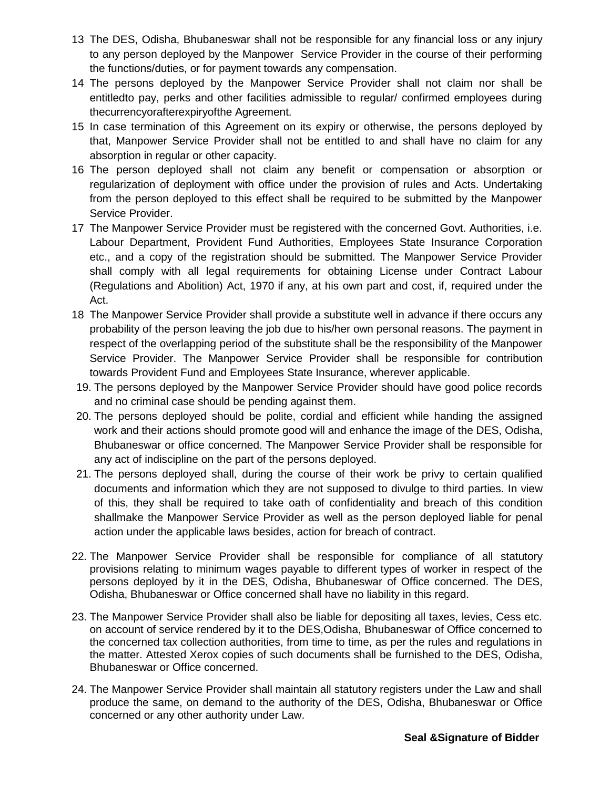- 13 The DES, Odisha, Bhubaneswar shall not be responsible for any financial loss or any injury to any person deployed by the Manpower Service Provider in the course of their performing the functions/duties, or for payment towards any compensation.
- 14 The persons deployed by the Manpower Service Provider shall not claim nor shall be entitledto pay, perks and other facilities admissible to regular/ confirmed employees during thecurrencyorafterexpiryofthe Agreement.
- 15 In case termination of this Agreement on its expiry or otherwise, the persons deployed by that, Manpower Service Provider shall not be entitled to and shall have no claim for any absorption in regular or other capacity.
- 16 The person deployed shall not claim any benefit or compensation or absorption or regularization of deployment with office under the provision of rules and Acts. Undertaking from the person deployed to this effect shall be required to be submitted by the Manpower Service Provider.
- 17 The Manpower Service Provider must be registered with the concerned Govt. Authorities, i.e. Labour Department, Provident Fund Authorities, Employees State Insurance Corporation etc., and a copy of the registration should be submitted. The Manpower Service Provider shall comply with all legal requirements for obtaining License under Contract Labour (Regulations and Abolition) Act, 1970 if any, at his own part and cost, if, required under the Act.
- 18 The Manpower Service Provider shall provide a substitute well in advance if there occurs any probability of the person leaving the job due to his/her own personal reasons. The payment in respect of the overlapping period of the substitute shall be the responsibility of the Manpower Service Provider. The Manpower Service Provider shall be responsible for contribution towards Provident Fund and Employees State Insurance, wherever applicable.
- 19. The persons deployed by the Manpower Service Provider should have good police records and no criminal case should be pending against them.
- 20. The persons deployed should be polite, cordial and efficient while handing the assigned work and their actions should promote good will and enhance the image of the DES, Odisha, Bhubaneswar or office concerned. The Manpower Service Provider shall be responsible for any act of indiscipline on the part of the persons deployed.
- 21. The persons deployed shall, during the course of their work be privy to certain qualified documents and information which they are not supposed to divulge to third parties. In view of this, they shall be required to take oath of confidentiality and breach of this condition shallmake the Manpower Service Provider as well as the person deployed liable for penal action under the applicable laws besides, action for breach of contract.
- 22. The Manpower Service Provider shall be responsible for compliance of all statutory provisions relating to minimum wages payable to different types of worker in respect of the persons deployed by it in the DES, Odisha, Bhubaneswar of Office concerned. The DES, Odisha, Bhubaneswar or Office concerned shall have no liability in this regard.
- 23. The Manpower Service Provider shall also be liable for depositing all taxes, levies, Cess etc. on account of service rendered by it to the DES,Odisha, Bhubaneswar of Office concerned to the concerned tax collection authorities, from time to time, as per the rules and regulations in the matter. Attested Xerox copies of such documents shall be furnished to the DES, Odisha, Bhubaneswar or Office concerned.
- 24. The Manpower Service Provider shall maintain all statutory registers under the Law and shall produce the same, on demand to the authority of the DES, Odisha, Bhubaneswar or Office concerned or any other authority under Law.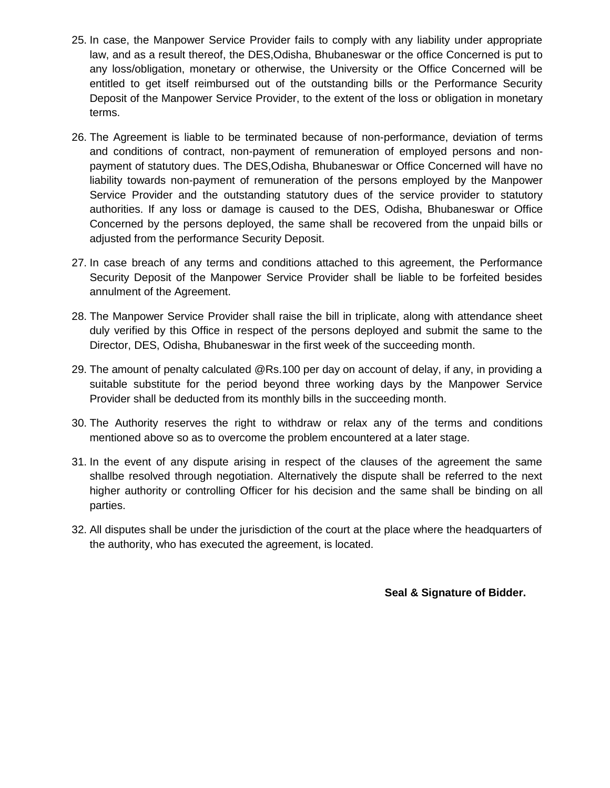- 25. In case, the Manpower Service Provider fails to comply with any liability under appropriate law, and as a result thereof, the DES,Odisha, Bhubaneswar or the office Concerned is put to any loss/obligation, monetary or otherwise, the University or the Office Concerned will be entitled to get itself reimbursed out of the outstanding bills or the Performance Security Deposit of the Manpower Service Provider, to the extent of the loss or obligation in monetary terms.
- 26. The Agreement is liable to be terminated because of non-performance, deviation of terms and conditions of contract, non-payment of remuneration of employed persons and nonpayment of statutory dues. The DES,Odisha, Bhubaneswar or Office Concerned will have no liability towards non-payment of remuneration of the persons employed by the Manpower Service Provider and the outstanding statutory dues of the service provider to statutory authorities. If any loss or damage is caused to the DES, Odisha, Bhubaneswar or Office Concerned by the persons deployed, the same shall be recovered from the unpaid bills or adjusted from the performance Security Deposit.
- 27. In case breach of any terms and conditions attached to this agreement, the Performance Security Deposit of the Manpower Service Provider shall be liable to be forfeited besides annulment of the Agreement.
- 28. The Manpower Service Provider shall raise the bill in triplicate, along with attendance sheet duly verified by this Office in respect of the persons deployed and submit the same to the Director, DES, Odisha, Bhubaneswar in the first week of the succeeding month.
- 29. The amount of penalty calculated @Rs.100 per day on account of delay, if any, in providing a suitable substitute for the period beyond three working days by the Manpower Service Provider shall be deducted from its monthly bills in the succeeding month.
- 30. The Authority reserves the right to withdraw or relax any of the terms and conditions mentioned above so as to overcome the problem encountered at a later stage.
- 31. In the event of any dispute arising in respect of the clauses of the agreement the same shallbe resolved through negotiation. Alternatively the dispute shall be referred to the next higher authority or controlling Officer for his decision and the same shall be binding on all parties.
- 32. All disputes shall be under the jurisdiction of the court at the place where the headquarters of the authority, who has executed the agreement, is located.

**Seal & Signature of Bidder.**